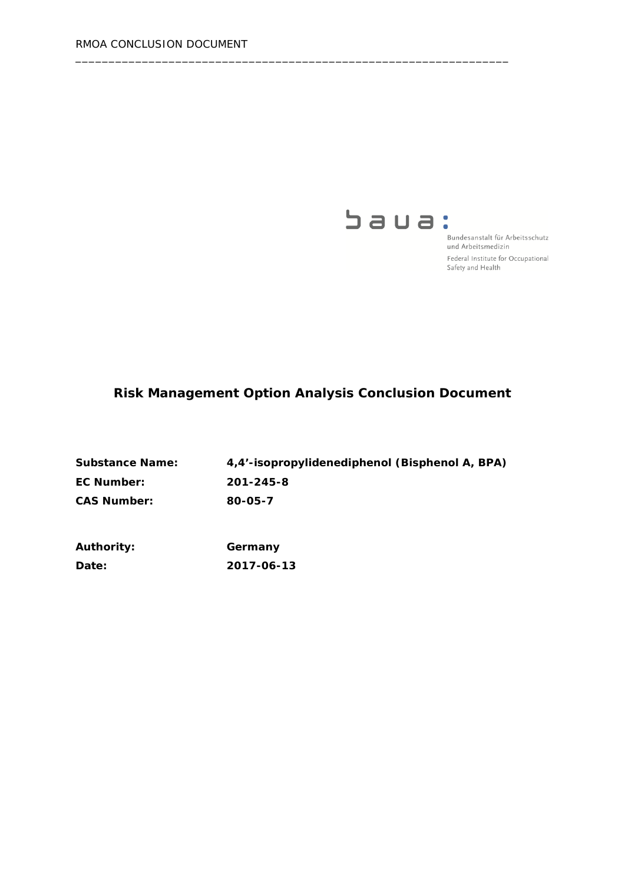

Bundesanstalt für Arbeitsschutz und Arbeitsmedizin Federal Institute for Occupational Safety and Health

# **Risk Management Option Analysis Conclusion Document**

| <b>Substance Name:</b> | 4,4'-isopropylidenediphenol (Bisphenol A, BPA) |
|------------------------|------------------------------------------------|
| <b>EC Number:</b>      | 201-245-8                                      |
| <b>CAS Number:</b>     | 80-05-7                                        |

\_\_\_\_\_\_\_\_\_\_\_\_\_\_\_\_\_\_\_\_\_\_\_\_\_\_\_\_\_\_\_\_\_\_\_\_\_\_\_\_\_\_\_\_\_\_\_\_\_\_\_\_\_\_\_\_\_\_\_\_\_\_\_\_\_

| <b>Authority:</b> | Germany    |  |
|-------------------|------------|--|
| <b>Date:</b>      | 2017-06-13 |  |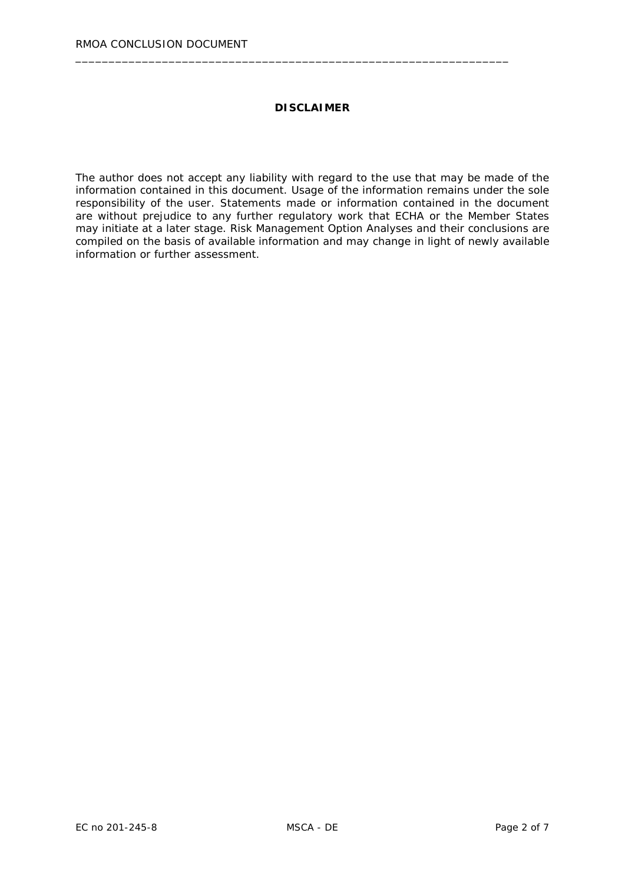#### **DISCLAIMER**

\_\_\_\_\_\_\_\_\_\_\_\_\_\_\_\_\_\_\_\_\_\_\_\_\_\_\_\_\_\_\_\_\_\_\_\_\_\_\_\_\_\_\_\_\_\_\_\_\_\_\_\_\_\_\_\_\_\_\_\_\_\_\_\_\_

The author does not accept any liability with regard to the use that may be made of the information contained in this document. Usage of the information remains under the sole responsibility of the user. Statements made or information contained in the document are without prejudice to any further regulatory work that ECHA or the Member States may initiate at a later stage. Risk Management Option Analyses and their conclusions are compiled on the basis of available information and may change in light of newly available information or further assessment.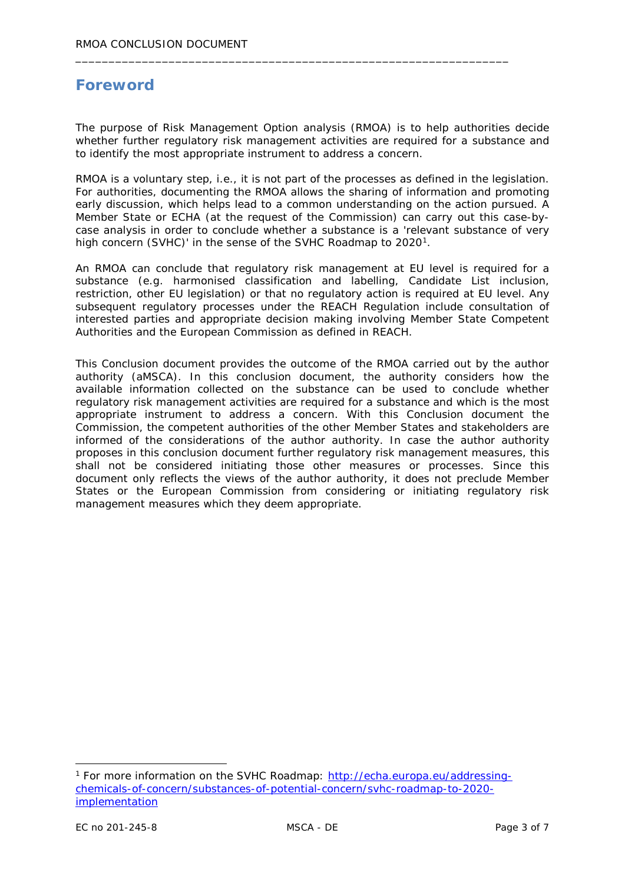# **Foreword**

The purpose of Risk Management Option analysis (RMOA) is to help authorities decide whether further regulatory risk management activities are required for a substance and to identify the most appropriate instrument to address a concern.

\_\_\_\_\_\_\_\_\_\_\_\_\_\_\_\_\_\_\_\_\_\_\_\_\_\_\_\_\_\_\_\_\_\_\_\_\_\_\_\_\_\_\_\_\_\_\_\_\_\_\_\_\_\_\_\_\_\_\_\_\_\_\_\_\_

RMOA is a voluntary step, i.e., it is not part of the processes as defined in the legislation. For authorities, documenting the RMOA allows the sharing of information and promoting early discussion, which helps lead to a common understanding on the action pursued. A Member State or ECHA (at the request of the Commission) can carry out this case-bycase analysis in order to conclude whether a substance is a 'relevant substance of very high concern (SVHC)' in the sense of the SVHC Roadmap to 2020<sup>1</sup>.

An RMOA can conclude that regulatory risk management at EU level is required for a substance (e.g. harmonised classification and labelling, Candidate List inclusion, restriction, other EU legislation) or that no regulatory action is required at EU level. Any subsequent regulatory processes under the REACH Regulation include consultation of interested parties and appropriate decision making involving Member State Competent Authorities and the European Commission as defined in REACH.

This Conclusion document provides the outcome of the RMOA carried out by the author authority (aMSCA). In this conclusion document, the authority considers how the available information collected on the substance can be used to conclude whether regulatory risk management activities are required for a substance and which is the most appropriate instrument to address a concern. With this Conclusion document the Commission, the competent authorities of the other Member States and stakeholders are informed of the considerations of the author authority. In case the author authority proposes in this conclusion document further regulatory risk management measures, this shall not be considered initiating those other measures or processes. Since this document only reflects the views of the author authority, it does not preclude Member States or the European Commission from considering or initiating regulatory risk management measures which they deem appropriate.

<span id="page-2-0"></span> <sup>1</sup> For more information on the SVHC Roadmap: [http://echa.europa.eu/addressing](http://echa.europa.eu/addressing-chemicals-of-concern/substances-of-potential-concern/svhc-roadmap-to-2020-implementation)[chemicals-of-concern/substances-of-potential-concern/svhc-roadmap-to-2020](http://echa.europa.eu/addressing-chemicals-of-concern/substances-of-potential-concern/svhc-roadmap-to-2020-implementation) [implementation](http://echa.europa.eu/addressing-chemicals-of-concern/substances-of-potential-concern/svhc-roadmap-to-2020-implementation)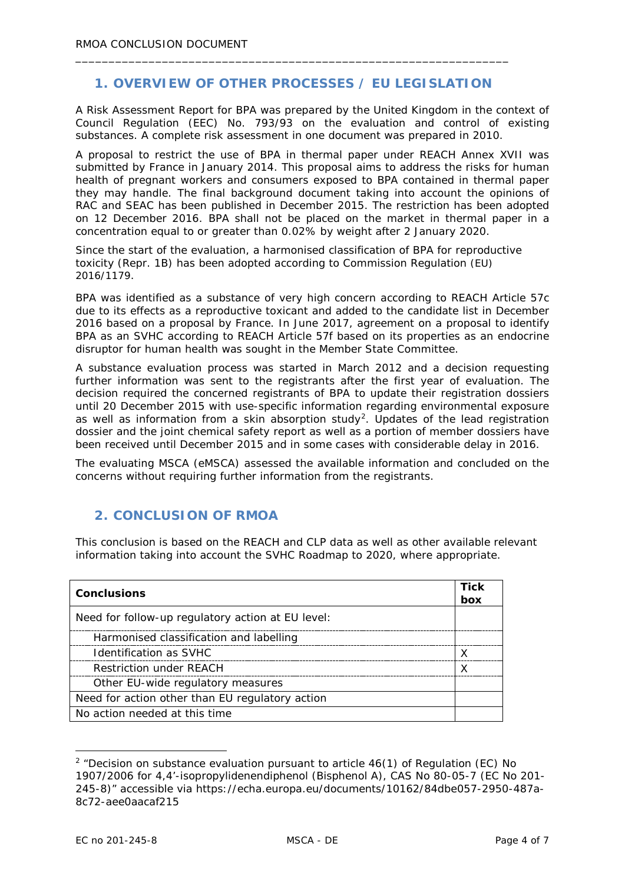# **1. OVERVIEW OF OTHER PROCESSES / EU LEGISLATION**

\_\_\_\_\_\_\_\_\_\_\_\_\_\_\_\_\_\_\_\_\_\_\_\_\_\_\_\_\_\_\_\_\_\_\_\_\_\_\_\_\_\_\_\_\_\_\_\_\_\_\_\_\_\_\_\_\_\_\_\_\_\_\_\_\_

A Risk Assessment Report for BPA was prepared by the United Kingdom in the context of Council Regulation (EEC) No. 793/93 on the evaluation and control of existing substances. A complete risk assessment in one document was prepared in 2010.

A proposal to restrict the use of BPA in thermal paper under REACH Annex XVII was submitted by France in January 2014. This proposal aims to address the risks for human health of pregnant workers and consumers exposed to BPA contained in thermal paper they may handle. The final background document taking into account the opinions of RAC and SEAC has been published in December 2015. The restriction has been adopted on 12 December 2016. BPA shall not be placed on the market in thermal paper in a concentration equal to or greater than 0.02% by weight after 2 January 2020.

Since the start of the evaluation, a harmonised classification of BPA for reproductive toxicity (Repr. 1B) has been adopted according to Commission Regulation (EU) 2016/1179.

BPA was identified as a substance of very high concern according to REACH Article 57c due to its effects as a reproductive toxicant and added to the candidate list in December 2016 based on a proposal by France. In June 2017, agreement on a proposal to identify BPA as an SVHC according to REACH Article 57f based on its properties as an endocrine disruptor for human health was sought in the Member State Committee.

A substance evaluation process was started in March 2012 and a decision requesting further information was sent to the registrants after the first year of evaluation. The decision required the concerned registrants of BPA to update their registration dossiers until 20 December 2015 with use-specific information regarding environmental exposure as well as information from a skin absorption study<sup>[2](#page-3-0)</sup>. Updates of the lead registration dossier and the joint chemical safety report as well as a portion of member dossiers have been received until December 2015 and in some cases with considerable delay in 2016.

The evaluating MSCA (eMSCA) assessed the available information and concluded on the concerns without requiring further information from the registrants.

# **2. CONCLUSION OF RMOA**

This conclusion is based on the REACH and CLP data as well as other available relevant information taking into account the SVHC Roadmap to 2020, where appropriate.

| <b>Conclusions</b>                                | <b>Tick</b><br>box |
|---------------------------------------------------|--------------------|
| Need for follow-up regulatory action at EU level: |                    |
| Harmonised classification and labelling           |                    |
| Identification as SVHC                            | X                  |
| <b>Restriction under REACH</b>                    |                    |
| Other EU-wide regulatory measures                 |                    |
| Need for action other than EU regulatory action   |                    |
| No action needed at this time                     |                    |

<span id="page-3-0"></span> $2$  "Decision on substance evaluation pursuant to article  $46(1)$  of Regulation (EC) No 1907/2006 for 4,4'-isopropylidenendiphenol (Bisphenol A), CAS No 80-05-7 (EC No 201- 245-8)" accessible via https://echa.europa.eu/documents/10162/84dbe057-2950-487a-8c72-aee0aacaf215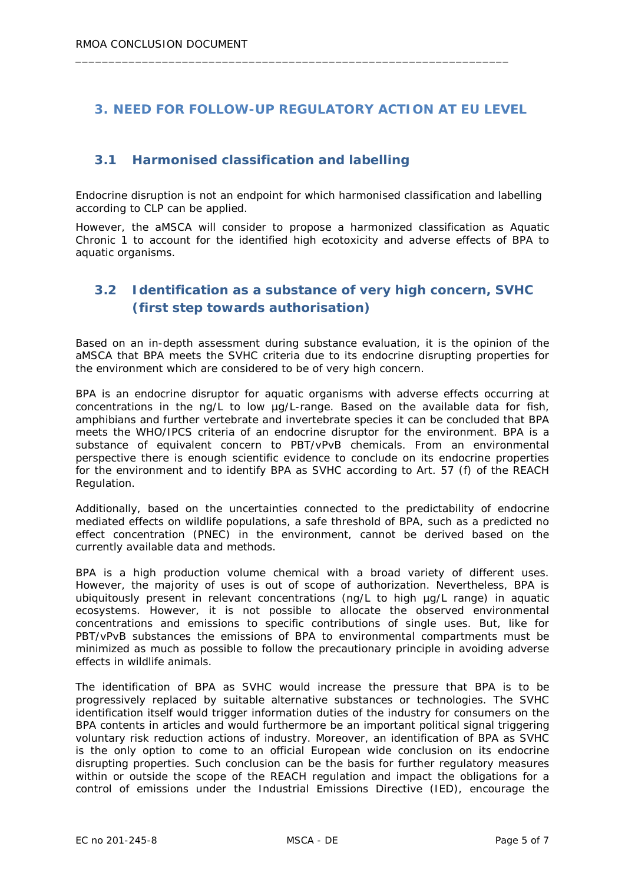# **3. NEED FOR FOLLOW-UP REGULATORY ACTION AT EU LEVEL**

\_\_\_\_\_\_\_\_\_\_\_\_\_\_\_\_\_\_\_\_\_\_\_\_\_\_\_\_\_\_\_\_\_\_\_\_\_\_\_\_\_\_\_\_\_\_\_\_\_\_\_\_\_\_\_\_\_\_\_\_\_\_\_\_\_

# **3.1 Harmonised classification and labelling**

Endocrine disruption is not an endpoint for which harmonised classification and labelling according to CLP can be applied.

However, the aMSCA will consider to propose a harmonized classification as Aquatic Chronic 1 to account for the identified high ecotoxicity and adverse effects of BPA to aquatic organisms.

# **3.2 Identification as a substance of very high concern, SVHC (first step towards authorisation)**

Based on an in-depth assessment during substance evaluation, it is the opinion of the aMSCA that BPA meets the SVHC criteria due to its endocrine disrupting properties for the environment which are considered to be of very high concern.

BPA is an endocrine disruptor for aquatic organisms with adverse effects occurring at concentrations in the ng/L to low µg/L-range. Based on the available data for fish, amphibians and further vertebrate and invertebrate species it can be concluded that BPA meets the WHO/IPCS criteria of an endocrine disruptor for the environment. BPA is a substance of equivalent concern to PBT/vPvB chemicals. From an environmental perspective there is enough scientific evidence to conclude on its endocrine properties for the environment and to identify BPA as SVHC according to Art. 57 (f) of the REACH Regulation.

Additionally, based on the uncertainties connected to the predictability of endocrine mediated effects on wildlife populations, a safe threshold of BPA, such as a predicted no effect concentration (PNEC) in the environment, cannot be derived based on the currently available data and methods.

BPA is a high production volume chemical with a broad variety of different uses. However, the majority of uses is out of scope of authorization. Nevertheless, BPA is ubiquitously present in relevant concentrations (ng/L to high µg/L range) in aquatic ecosystems. However, it is not possible to allocate the observed environmental concentrations and emissions to specific contributions of single uses. But, like for PBT/vPvB substances the emissions of BPA to environmental compartments must be minimized as much as possible to follow the precautionary principle in avoiding adverse effects in wildlife animals.

The identification of BPA as SVHC would increase the pressure that BPA is to be progressively replaced by suitable alternative substances or technologies. The SVHC identification itself would trigger information duties of the industry for consumers on the BPA contents in articles and would furthermore be an important political signal triggering voluntary risk reduction actions of industry. Moreover, an identification of BPA as SVHC is the only option to come to an official European wide conclusion on its endocrine disrupting properties. Such conclusion can be the basis for further regulatory measures within or outside the scope of the REACH regulation and impact the obligations for a control of emissions under the Industrial Emissions Directive (IED), encourage the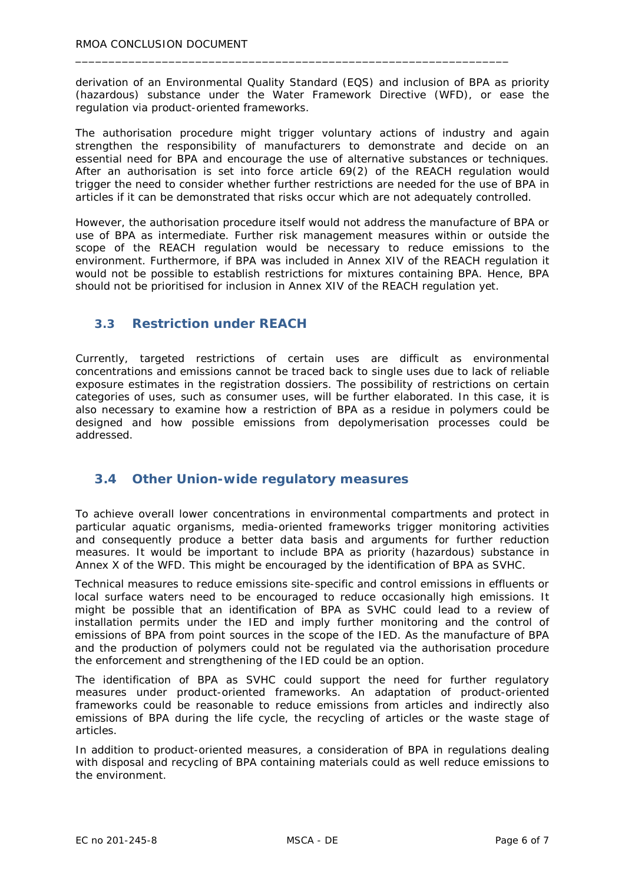derivation of an Environmental Quality Standard (EQS) and inclusion of BPA as priority (hazardous) substance under the Water Framework Directive (WFD), or ease the regulation via product-oriented frameworks.

\_\_\_\_\_\_\_\_\_\_\_\_\_\_\_\_\_\_\_\_\_\_\_\_\_\_\_\_\_\_\_\_\_\_\_\_\_\_\_\_\_\_\_\_\_\_\_\_\_\_\_\_\_\_\_\_\_\_\_\_\_\_\_\_\_

The authorisation procedure might trigger voluntary actions of industry and again strengthen the responsibility of manufacturers to demonstrate and decide on an essential need for BPA and encourage the use of alternative substances or techniques. After an authorisation is set into force article 69(2) of the REACH regulation would trigger the need to consider whether further restrictions are needed for the use of BPA in articles if it can be demonstrated that risks occur which are not adequately controlled.

However, the authorisation procedure itself would not address the manufacture of BPA or use of BPA as intermediate. Further risk management measures within or outside the scope of the REACH regulation would be necessary to reduce emissions to the environment. Furthermore, if BPA was included in Annex XIV of the REACH regulation it would not be possible to establish restrictions for mixtures containing BPA. Hence, BPA should not be prioritised for inclusion in Annex XIV of the REACH regulation yet.

### **3.3 Restriction under REACH**

Currently, targeted restrictions of certain uses are difficult as environmental concentrations and emissions cannot be traced back to single uses due to lack of reliable exposure estimates in the registration dossiers. The possibility of restrictions on certain categories of uses, such as consumer uses, will be further elaborated. In this case, it is also necessary to examine how a restriction of BPA as a residue in polymers could be designed and how possible emissions from depolymerisation processes could be addressed.

#### **3.4 Other Union-wide regulatory measures**

To achieve overall lower concentrations in environmental compartments and protect in particular aquatic organisms, media-oriented frameworks trigger monitoring activities and consequently produce a better data basis and arguments for further reduction measures. It would be important to include BPA as priority (hazardous) substance in Annex X of the WFD. This might be encouraged by the identification of BPA as SVHC.

Technical measures to reduce emissions site-specific and control emissions in effluents or local surface waters need to be encouraged to reduce occasionally high emissions. It might be possible that an identification of BPA as SVHC could lead to a review of installation permits under the IED and imply further monitoring and the control of emissions of BPA from point sources in the scope of the IED. As the manufacture of BPA and the production of polymers could not be regulated via the authorisation procedure the enforcement and strengthening of the IED could be an option.

The identification of BPA as SVHC could support the need for further regulatory measures under product-oriented frameworks. An adaptation of product-oriented frameworks could be reasonable to reduce emissions from articles and indirectly also emissions of BPA during the life cycle, the recycling of articles or the waste stage of articles.

In addition to product-oriented measures, a consideration of BPA in regulations dealing with disposal and recycling of BPA containing materials could as well reduce emissions to the environment.